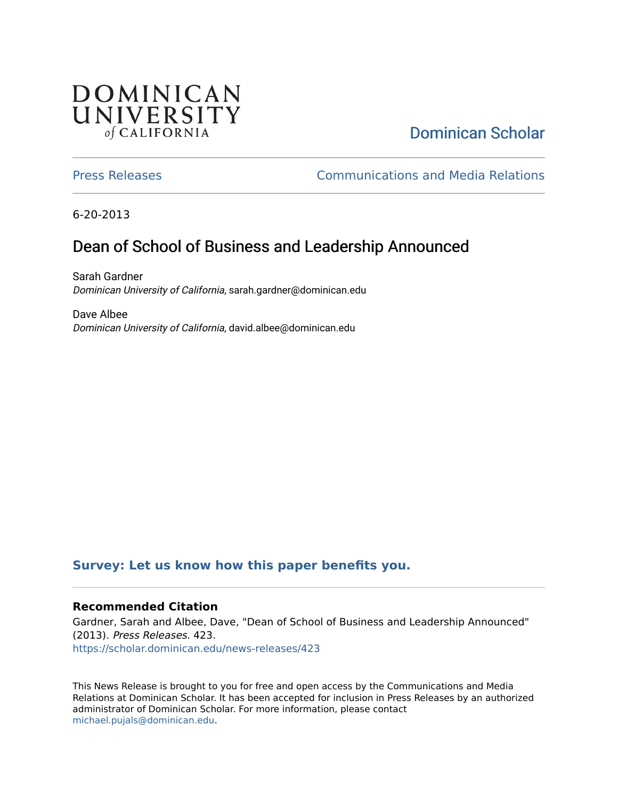## **DOMINICAN** UNIVERSITY of CALIFORNIA

# [Dominican Scholar](https://scholar.dominican.edu/)

[Press Releases](https://scholar.dominican.edu/news-releases) [Communications and Media Relations](https://scholar.dominican.edu/communications-media) 

6-20-2013

# Dean of School of Business and Leadership Announced

Sarah Gardner Dominican University of California, sarah.gardner@dominican.edu

Dave Albee Dominican University of California, david.albee@dominican.edu

#### **[Survey: Let us know how this paper benefits you.](https://dominican.libwizard.com/dominican-scholar-feedback)**

#### **Recommended Citation**

Gardner, Sarah and Albee, Dave, "Dean of School of Business and Leadership Announced" (2013). Press Releases. 423. [https://scholar.dominican.edu/news-releases/423](https://scholar.dominican.edu/news-releases/423?utm_source=scholar.dominican.edu%2Fnews-releases%2F423&utm_medium=PDF&utm_campaign=PDFCoverPages)

This News Release is brought to you for free and open access by the Communications and Media Relations at Dominican Scholar. It has been accepted for inclusion in Press Releases by an authorized administrator of Dominican Scholar. For more information, please contact [michael.pujals@dominican.edu.](mailto:michael.pujals@dominican.edu)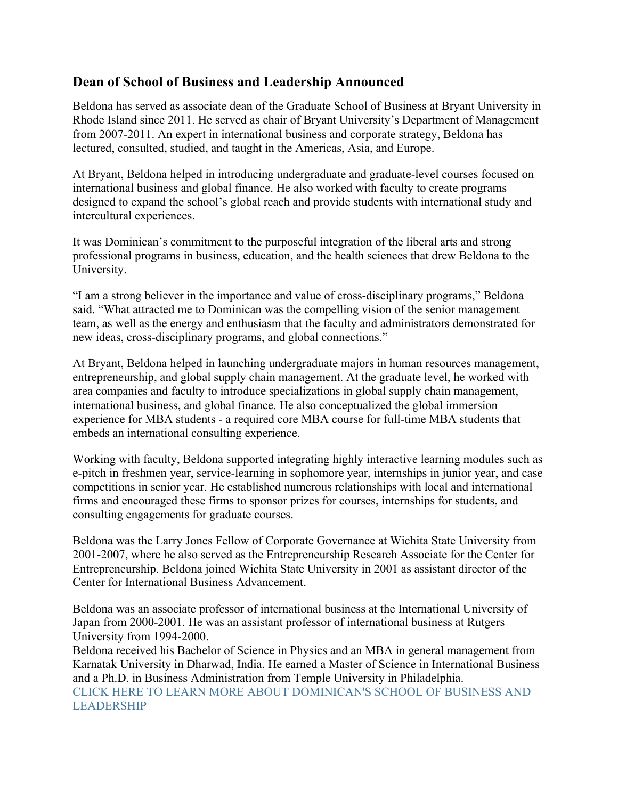### **Dean of School of Business and Leadership Announced**

Beldona has served as associate dean of the Graduate School of Business at Bryant University in Rhode Island since 2011. He served as chair of Bryant University's Department of Management from 2007-2011. An expert in international business and corporate strategy, Beldona has lectured, consulted, studied, and taught in the Americas, Asia, and Europe.

At Bryant, Beldona helped in introducing undergraduate and graduate-level courses focused on international business and global finance. He also worked with faculty to create programs designed to expand the school's global reach and provide students with international study and intercultural experiences.

It was Dominican's commitment to the purposeful integration of the liberal arts and strong professional programs in business, education, and the health sciences that drew Beldona to the University.

"I am a strong believer in the importance and value of cross-disciplinary programs," Beldona said. "What attracted me to Dominican was the compelling vision of the senior management team, as well as the energy and enthusiasm that the faculty and administrators demonstrated for new ideas, cross-disciplinary programs, and global connections."

At Bryant, Beldona helped in launching undergraduate majors in human resources management, entrepreneurship, and global supply chain management. At the graduate level, he worked with area companies and faculty to introduce specializations in global supply chain management, international business, and global finance. He also conceptualized the global immersion experience for MBA students - a required core MBA course for full-time MBA students that embeds an international consulting experience.

Working with faculty, Beldona supported integrating highly interactive learning modules such as e-pitch in freshmen year, service-learning in sophomore year, internships in junior year, and case competitions in senior year. He established numerous relationships with local and international firms and encouraged these firms to sponsor prizes for courses, internships for students, and consulting engagements for graduate courses.

Beldona was the Larry Jones Fellow of Corporate Governance at Wichita State University from 2001-2007, where he also served as the Entrepreneurship Research Associate for the Center for Entrepreneurship. Beldona joined Wichita State University in 2001 as assistant director of the Center for International Business Advancement.

Beldona was an associate professor of international business at the International University of Japan from 2000-2001. He was an assistant professor of international business at Rutgers University from 1994-2000.

Beldona received his Bachelor of Science in Physics and an MBA in general management from Karnatak University in Dharwad, India. He earned a Master of Science in International Business and a Ph.D. in Business Administration from Temple University in Philadelphia. CLICK HERE TO LEARN MORE ABOUT DOMINICAN'S SCHOOL OF BUSINESS AND LEADERSHIP